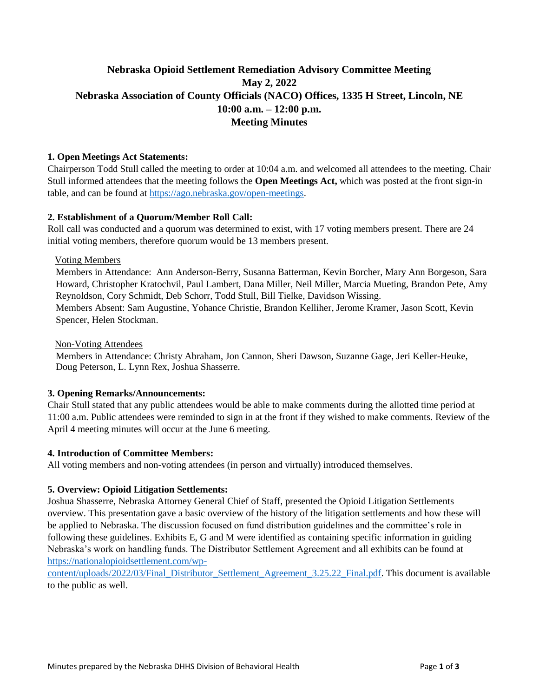# **Nebraska Opioid Settlement Remediation Advisory Committee Meeting May 2, 2022 Nebraska Association of County Officials (NACO) Offices, 1335 H Street, Lincoln, NE 10:00 a.m. – 12:00 p.m. Meeting Minutes**

## **1. Open Meetings Act Statements:**

Chairperson Todd Stull called the meeting to order at 10:04 a.m. and welcomed all attendees to the meeting. Chair Stull informed attendees that the meeting follows the **Open Meetings Act,** which was posted at the front sign-in table, and can be found at [https://ago.nebraska.gov/open-meetings.](https://ago.nebraska.gov/open-meetings)

## **2. Establishment of a Quorum/Member Roll Call:**

Roll call was conducted and a quorum was determined to exist, with 17 voting members present. There are 24 initial voting members, therefore quorum would be 13 members present.

#### Voting Members

Members in Attendance: Ann Anderson-Berry, Susanna Batterman, Kevin Borcher, Mary Ann Borgeson, Sara Howard, Christopher Kratochvil, Paul Lambert, Dana Miller, Neil Miller, Marcia Mueting, Brandon Pete, Amy Reynoldson, Cory Schmidt, Deb Schorr, Todd Stull, Bill Tielke, Davidson Wissing.

Members Absent: Sam Augustine, Yohance Christie, Brandon Kelliher, Jerome Kramer, Jason Scott, Kevin Spencer, Helen Stockman.

#### Non-Voting Attendees

Members in Attendance: Christy Abraham, Jon Cannon, Sheri Dawson, Suzanne Gage, Jeri Keller-Heuke, Doug Peterson, L. Lynn Rex, Joshua Shasserre.

#### **3. Opening Remarks/Announcements:**

Chair Stull stated that any public attendees would be able to make comments during the allotted time period at 11:00 a.m. Public attendees were reminded to sign in at the front if they wished to make comments. Review of the April 4 meeting minutes will occur at the June 6 meeting.

#### **4. Introduction of Committee Members:**

All voting members and non-voting attendees (in person and virtually) introduced themselves.

#### **5. Overview: Opioid Litigation Settlements:**

Joshua Shasserre, Nebraska Attorney General Chief of Staff, presented the Opioid Litigation Settlements overview. This presentation gave a basic overview of the history of the litigation settlements and how these will be applied to Nebraska. The discussion focused on fund distribution guidelines and the committee's role in following these guidelines. Exhibits E, G and M were identified as containing specific information in guiding Nebraska's work on handling funds. The Distributor Settlement Agreement and all exhibits can be found at [https://nationalopioidsettlement.com/wp-](https://nationalopioidsettlement.com/wp-content/uploads/2022/03/Final_Distributor_Settlement_Agreement_3.25.22_Final.pdf)

[content/uploads/2022/03/Final\\_Distributor\\_Settlement\\_Agreement\\_3.25.22\\_Final.pdf.](https://nationalopioidsettlement.com/wp-content/uploads/2022/03/Final_Distributor_Settlement_Agreement_3.25.22_Final.pdf) This document is available to the public as well.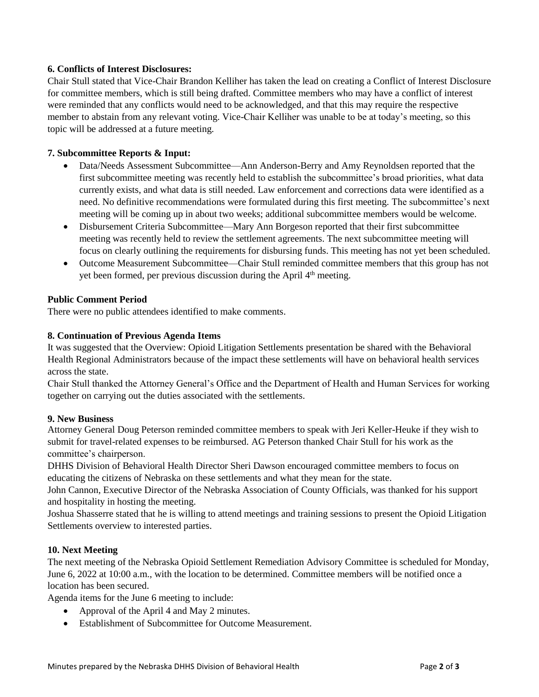## **6. Conflicts of Interest Disclosures:**

Chair Stull stated that Vice-Chair Brandon Kelliher has taken the lead on creating a Conflict of Interest Disclosure for committee members, which is still being drafted. Committee members who may have a conflict of interest were reminded that any conflicts would need to be acknowledged, and that this may require the respective member to abstain from any relevant voting. Vice-Chair Kelliher was unable to be at today's meeting, so this topic will be addressed at a future meeting.

## **7. Subcommittee Reports & Input:**

- Data/Needs Assessment Subcommittee—Ann Anderson-Berry and Amy Reynoldsen reported that the first subcommittee meeting was recently held to establish the subcommittee's broad priorities, what data currently exists, and what data is still needed. Law enforcement and corrections data were identified as a need. No definitive recommendations were formulated during this first meeting. The subcommittee's next meeting will be coming up in about two weeks; additional subcommittee members would be welcome.
- Disbursement Criteria Subcommittee—Mary Ann Borgeson reported that their first subcommittee meeting was recently held to review the settlement agreements. The next subcommittee meeting will focus on clearly outlining the requirements for disbursing funds. This meeting has not yet been scheduled.
- Outcome Measurement Subcommittee—Chair Stull reminded committee members that this group has not yet been formed, per previous discussion during the April 4<sup>th</sup> meeting.

#### **Public Comment Period**

There were no public attendees identified to make comments.

#### **8. Continuation of Previous Agenda Items**

It was suggested that the Overview: Opioid Litigation Settlements presentation be shared with the Behavioral Health Regional Administrators because of the impact these settlements will have on behavioral health services across the state.

Chair Stull thanked the Attorney General's Office and the Department of Health and Human Services for working together on carrying out the duties associated with the settlements.

#### **9. New Business**

Attorney General Doug Peterson reminded committee members to speak with Jeri Keller-Heuke if they wish to submit for travel-related expenses to be reimbursed. AG Peterson thanked Chair Stull for his work as the committee's chairperson.

DHHS Division of Behavioral Health Director Sheri Dawson encouraged committee members to focus on educating the citizens of Nebraska on these settlements and what they mean for the state.

John Cannon, Executive Director of the Nebraska Association of County Officials, was thanked for his support and hospitality in hosting the meeting.

Joshua Shasserre stated that he is willing to attend meetings and training sessions to present the Opioid Litigation Settlements overview to interested parties.

#### **10. Next Meeting**

The next meeting of the Nebraska Opioid Settlement Remediation Advisory Committee is scheduled for Monday, June 6, 2022 at 10:00 a.m., with the location to be determined. Committee members will be notified once a location has been secured.

Agenda items for the June 6 meeting to include:

- Approval of the April 4 and May 2 minutes.
- Establishment of Subcommittee for Outcome Measurement.